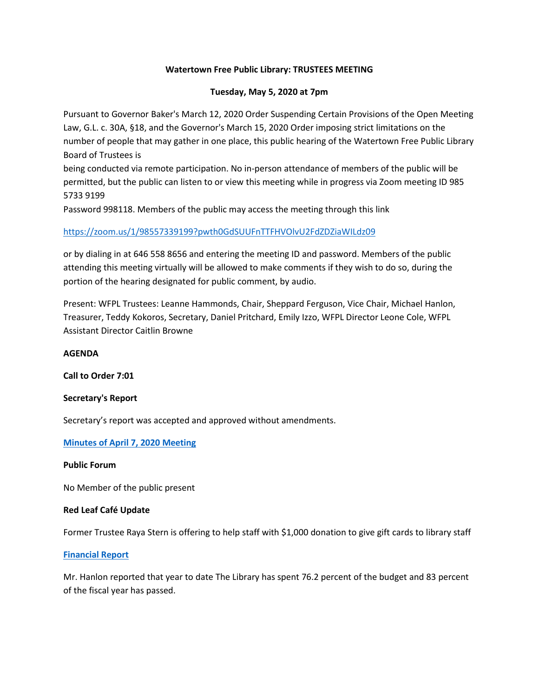## **Watertown Free Public Library: TRUSTEES MEETING**

## **Tuesday, May 5, 2020 at 7pm**

Pursuant to Governor Baker's March 12, 2020 Order Suspending Certain Provisions of the Open Meeting Law, G.L. c. 30A, §18, and the Governor's March 15, 2020 Order imposing strict limitations on the number of people that may gather in one place, this public hearing of the Watertown Free Public Library Board of Trustees is

being conducted via remote participation. No in-person attendance of members of the public will be permitted, but the public can listen to or view this meeting while in progress via Zoom meeting ID 985 5733 9199

Password 998118. Members of the public may access the meeting through this link

# [https://zoom.us/1/98557339199?pwth0GdSUUFnTTFHVOlvU2FdZDZiaWILdz09](https://zoom.us/1/98557339199?pwth0gdsuufnttfhvolvu2fdzdziawildz09/)

or by dialing in at 646 558 8656 and entering the meeting ID and password. Members of the public attending this meeting virtually will be allowed to make comments if they wish to do so, during the portion of the hearing designated for public comment, by audio.

Present: WFPL Trustees: Leanne Hammonds, Chair, Sheppard Ferguson, Vice Chair, Michael Hanlon, Treasurer, Teddy Kokoros, Secretary, Daniel Pritchard, Emily Izzo, WFPL Director Leone Cole, WFPL Assistant Director Caitlin Browne

## **AGENDA**

**Call to Order 7:01**

## **Secretary's Report**

Secretary's report was accepted and approved without amendments.

## **[Minutes of April 7, 2020 Meeting](https://www.watertown-ma.gov/DocumentCenter/View/29453/April-7-2020-minutes-with-links)**

#### **Public Forum**

No Member of the public present

## **Red Leaf Café Update**

Former Trustee Raya Stern is offering to help staff with \$1,000 donation to give gift cards to library staff

## **[Financial Report](https://www.watertown-ma.gov/DocumentCenter/View/29673/may20financial)**

Mr. Hanlon reported that year to date The Library has spent 76.2 percent of the budget and 83 percent of the fiscal year has passed.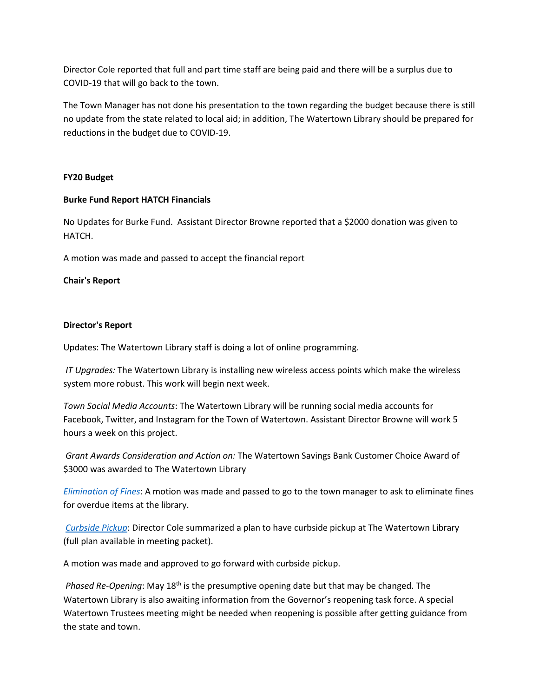Director Cole reported that full and part time staff are being paid and there will be a surplus due to COVID-19 that will go back to the town.

The Town Manager has not done his presentation to the town regarding the budget because there is still no update from the state related to local aid; in addition, The Watertown Library should be prepared for reductions in the budget due to COVID-19.

## **FY20 Budget**

## **Burke Fund Report HATCH Financials**

No Updates for Burke Fund. Assistant Director Browne reported that a \$2000 donation was given to HATCH.

A motion was made and passed to accept the financial report

#### **Chair's Report**

#### **Director's Report**

Updates: The Watertown Library staff is doing a lot of online programming.

*IT Upgrades:* The Watertown Library is installing new wireless access points which make the wireless system more robust. This work will begin next week.

*Town Social Media Accounts*: The Watertown Library will be running social media accounts for Facebook, Twitter, and Instagram for the Town of Watertown. Assistant Director Browne will work 5 hours a week on this project.

*Grant Awards Consideration and Action on:* The Watertown Savings Bank Customer Choice Award of \$3000 was awarded to The Watertown Library

*[Elimination](https://www.watertown-ma.gov/DocumentCenter/View/29674/may20fines) of Fines*: A motion was made and passed to go to the town manager to ask to eliminate fines for overdue items at the library.

*[Curbside Pickup](https://www.watertown-ma.gov/DocumentCenter/View/29672/may20curbside)*: Director Cole summarized a plan to have curbside pickup at The Watertown Library (full plan available in meeting packet).

A motion was made and approved to go forward with curbside pickup.

*Phased Re-Opening*: May 18<sup>th</sup> is the presumptive opening date but that may be changed. The Watertown Library is also awaiting information from the Governor's reopening task force. A special Watertown Trustees meeting might be needed when reopening is possible after getting guidance from the state and town.